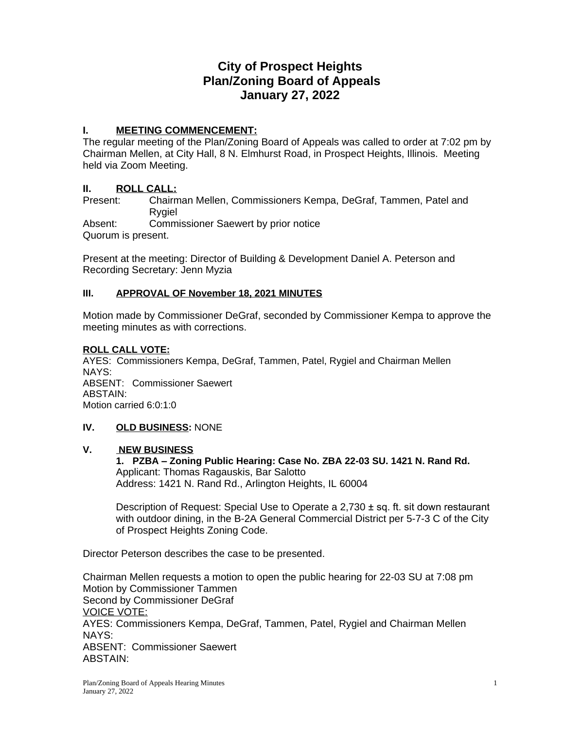# **City of Prospect Heights Plan/Zoning Board of Appeals January 27, 2022**

#### **I. MEETING COMMENCEMENT:**

The regular meeting of the Plan/Zoning Board of Appeals was called to order at 7:02 pm by Chairman Mellen, at City Hall, 8 N. Elmhurst Road, in Prospect Heights, Illinois. Meeting held via Zoom Meeting.

# **II.** ROLL CALL:<br>Present: Chairm

Chairman Mellen, Commissioners Kempa, DeGraf, Tammen, Patel and Rygiel Absent: Commissioner Saewert by prior notice Quorum is present.

Present at the meeting: Director of Building & Development Daniel A. Peterson and Recording Secretary: Jenn Myzia

## **III. APPROVAL OF November 18, 2021 MINUTES**

Motion made by Commissioner DeGraf, seconded by Commissioner Kempa to approve the meeting minutes as with corrections.

#### **ROLL CALL VOTE:**

AYES: Commissioners Kempa, DeGraf, Tammen, Patel, Rygiel and Chairman Mellen NAYS: ABSENT: Commissioner Saewert ABSTAIN: Motion carried 6:0:1:0

#### **IV. OLD BUSINESS:** NONE

#### **V. NEW BUSINESS**

**1. PZBA – Zoning Public Hearing: Case No. ZBA 22-03 SU. 1421 N. Rand Rd.** Applicant: Thomas Ragauskis, Bar Salotto Address: 1421 N. Rand Rd., Arlington Heights, IL 60004

Description of Request: Special Use to Operate a 2,730 ± sq. ft. sit down restaurant with outdoor dining, in the B-2A General Commercial District per 5-7-3 C of the City of Prospect Heights Zoning Code.

Director Peterson describes the case to be presented.

Chairman Mellen requests a motion to open the public hearing for 22-03 SU at 7:08 pm Motion by Commissioner Tammen Second by Commissioner DeGraf VOICE VOTE: AYES: Commissioners Kempa, DeGraf, Tammen, Patel, Rygiel and Chairman Mellen NAYS: ABSENT: Commissioner Saewert ABSTAIN: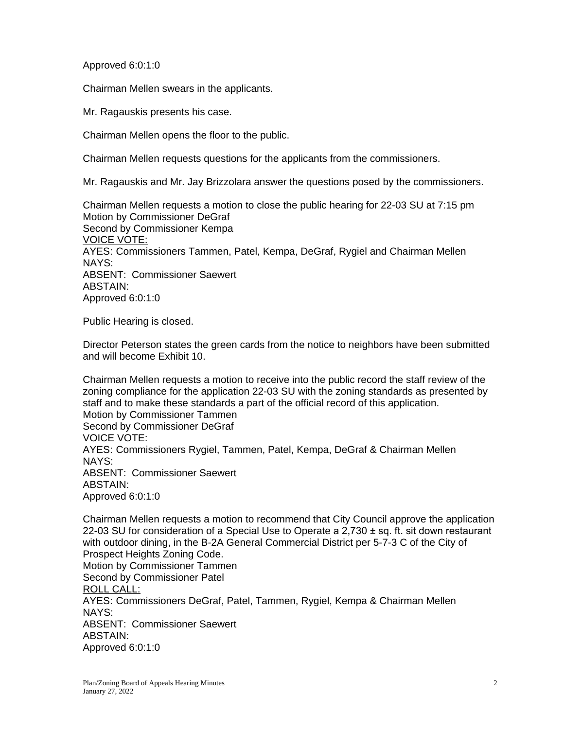Approved 6:0:1:0

Chairman Mellen swears in the applicants.

Mr. Ragauskis presents his case.

Chairman Mellen opens the floor to the public.

Chairman Mellen requests questions for the applicants from the commissioners.

Mr. Ragauskis and Mr. Jay Brizzolara answer the questions posed by the commissioners.

Chairman Mellen requests a motion to close the public hearing for 22-03 SU at 7:15 pm Motion by Commissioner DeGraf Second by Commissioner Kempa VOICE VOTE: AYES: Commissioners Tammen, Patel, Kempa, DeGraf, Rygiel and Chairman Mellen NAYS: ABSENT: Commissioner Saewert ABSTAIN: Approved 6:0:1:0

Public Hearing is closed.

Director Peterson states the green cards from the notice to neighbors have been submitted and will become Exhibit 10.

Chairman Mellen requests a motion to receive into the public record the staff review of the zoning compliance for the application 22-03 SU with the zoning standards as presented by staff and to make these standards a part of the official record of this application. Motion by Commissioner Tammen Second by Commissioner DeGraf VOICE VOTE: AYES: Commissioners Rygiel, Tammen, Patel, Kempa, DeGraf & Chairman Mellen NAYS: ABSENT: Commissioner Saewert ABSTAIN: Approved 6:0:1:0

Chairman Mellen requests a motion to recommend that City Council approve the application 22-03 SU for consideration of a Special Use to Operate a 2,730 ± sq. ft. sit down restaurant with outdoor dining, in the B-2A General Commercial District per 5-7-3 C of the City of Prospect Heights Zoning Code. Motion by Commissioner Tammen Second by Commissioner Patel ROLL CALL: AYES: Commissioners DeGraf, Patel, Tammen, Rygiel, Kempa & Chairman Mellen NAYS: ABSENT: Commissioner Saewert ABSTAIN: Approved 6:0:1:0